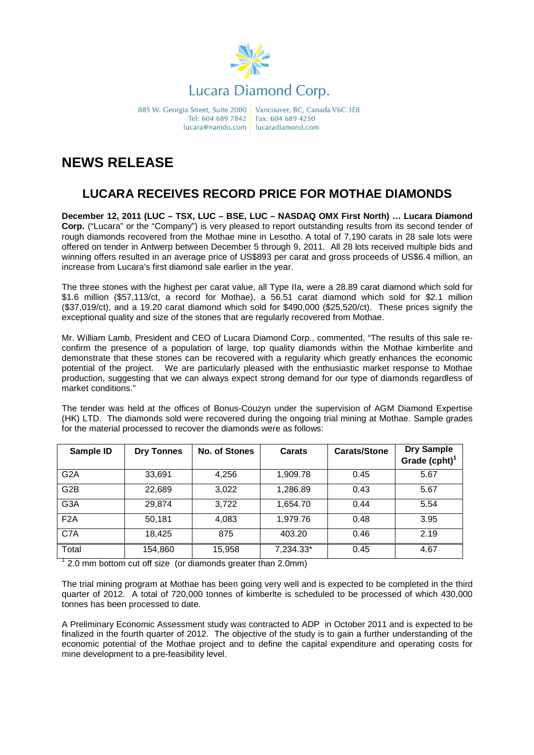

885 W. Georgia Street, Suite 2000 Tel: 604 689 7842 lucara@namdo.com

Vancouver, BC, Canada V6C 3E8 Fax: 604 689 4250 lucaradiamond com

## **NEWS RELEASE**

## **LUCARA RECEIVES RECORD PRICE FOR MOTHAE DIAMONDS**

**December 12, 2011 (LUC – TSX, LUC – BSE, LUC – NASDAQ OMX First North) … Lucara Diamond Corp.** ("Lucara" or the "Company") is very pleased to report outstanding results from its second tender of rough diamonds recovered from the Mothae mine in Lesotho. A total of 7,190 carats in 28 sale lots were offered on tender in Antwerp between December 5 through 9, 2011. All 28 lots received multiple bids and winning offers resulted in an average price of US\$893 per carat and gross proceeds of US\$6.4 million, an increase from Lucara's first diamond sale earlier in the year.

The three stones with the highest per carat value, all Type IIa, were a 28.89 carat diamond which sold for \$1.6 million (\$57,113/ct, a record for Mothae), a 56.51 carat diamond which sold for \$2.1 million (\$37,019/ct), and a 19.20 carat diamond which sold for \$490,000 (\$25,520/ct). These prices signify the exceptional quality and size of the stones that are regularly recovered from Mothae.

Mr. William Lamb, President and CEO of Lucara Diamond Corp., commented, "The results of this sale reconfirm the presence of a population of large, top quality diamonds within the Mothae kimberlite and demonstrate that these stones can be recovered with a regularity which greatly enhances the economic potential of the project. We are particularly pleased with the enthusiastic market response to Mothae production, suggesting that we can always expect strong demand for our type of diamonds regardless of market conditions."

The tender was held at the offices of Bonus-Couzyn under the supervision of AGM Diamond Expertise (HK) LTD. The diamonds sold were recovered during the ongoing trial mining at Mothae. Sample grades for the material processed to recover the diamonds were as follows:

| Sample ID        | <b>Dry Tonnes</b> | <b>No. of Stones</b> | Carats    | <b>Carats/Stone</b> | <b>Dry Sample</b><br>Grade (cpht) <sup>1</sup> |
|------------------|-------------------|----------------------|-----------|---------------------|------------------------------------------------|
| G <sub>2</sub> A | 33,691            | 4,256                | 1,909.78  | 0.45                | 5.67                                           |
| G <sub>2</sub> B | 22,689            | 3,022                | 1,286.89  | 0.43                | 5.67                                           |
| G <sub>3</sub> A | 29,874            | 3,722                | 1,654.70  | 0.44                | 5.54                                           |
| F <sub>2</sub> A | 50,181            | 4,083                | 1,979.76  | 0.48                | 3.95                                           |
| C7A              | 18,425            | 875                  | 403.20    | 0.46                | 2.19                                           |
| Total            | 154,860           | 15,958               | 7,234.33* | 0.45                | 4.67                                           |

 $1$  2.0 mm bottom cut off size (or diamonds greater than 2.0mm)

The trial mining program at Mothae has been going very well and is expected to be completed in the third quarter of 2012. A total of 720,000 tonnes of kimberlte is scheduled to be processed of which 430,000 tonnes has been processed to date.

A Preliminary Economic Assessment study was contracted to ADP in October 2011 and is expected to be finalized in the fourth quarter of 2012. The objective of the study is to gain a further understanding of the economic potential of the Mothae project and to define the capital expenditure and operating costs for mine development to a pre-feasibility level.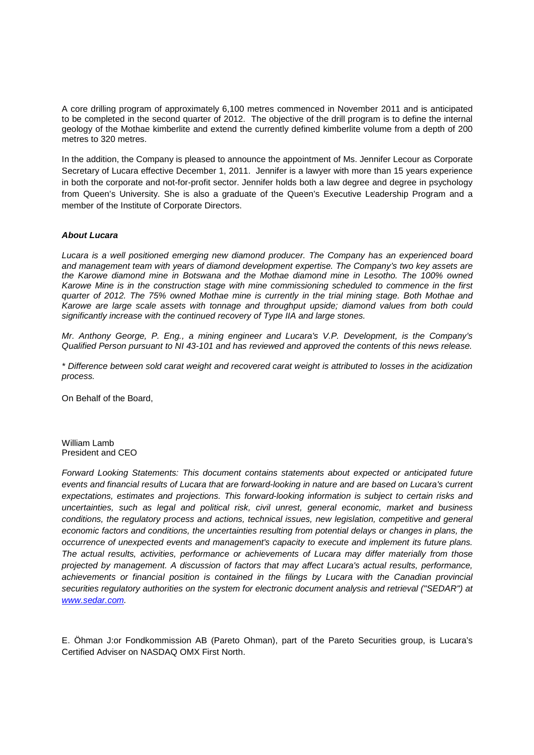A core drilling program of approximately 6,100 metres commenced in November 2011 and is anticipated to be completed in the second quarter of 2012. The objective of the drill program is to define the internal geology of the Mothae kimberlite and extend the currently defined kimberlite volume from a depth of 200 metres to 320 metres.

In the addition, the Company is pleased to announce the appointment of Ms. Jennifer Lecour as Corporate Secretary of Lucara effective December 1, 2011. Jennifer is a lawyer with more than 15 years experience in both the corporate and not-for-profit sector. Jennifer holds both a law degree and degree in psychology from Queen's University. She is also a graduate of the Queen's Executive Leadership Program and a member of the Institute of Corporate Directors.

## **About Lucara**

Lucara is a well positioned emerging new diamond producer. The Company has an experienced board and management team with years of diamond development expertise. The Company's two key assets are the Karowe diamond mine in Botswana and the Mothae diamond mine in Lesotho. The 100% owned Karowe Mine is in the construction stage with mine commissioning scheduled to commence in the first quarter of 2012. The 75% owned Mothae mine is currently in the trial mining stage. Both Mothae and Karowe are large scale assets with tonnage and throughput upside; diamond values from both could significantly increase with the continued recovery of Type IIA and large stones.

Mr. Anthony George, P. Eng., a mining engineer and Lucara's V.P. Development, is the Company's Qualified Person pursuant to NI 43-101 and has reviewed and approved the contents of this news release.

\* Difference between sold carat weight and recovered carat weight is attributed to losses in the acidization process.

On Behalf of the Board,

William Lamb President and CEO

Forward Looking Statements: This document contains statements about expected or anticipated future events and financial results of Lucara that are forward-looking in nature and are based on Lucara's current expectations, estimates and projections. This forward-looking information is subject to certain risks and uncertainties, such as legal and political risk, civil unrest, general economic, market and business conditions, the regulatory process and actions, technical issues, new legislation, competitive and general economic factors and conditions, the uncertainties resulting from potential delays or changes in plans, the occurrence of unexpected events and management's capacity to execute and implement its future plans. The actual results, activities, performance or achievements of Lucara may differ materially from those projected by management. A discussion of factors that may affect Lucara's actual results, performance, achievements or financial position is contained in the filings by Lucara with the Canadian provincial securities regulatory authorities on the system for electronic document analysis and retrieval ("SEDAR") at www.sedar.com.

E. Öhman J:or Fondkommission AB (Pareto Ohman), part of the Pareto Securities group, is Lucara's Certified Adviser on NASDAQ OMX First North.